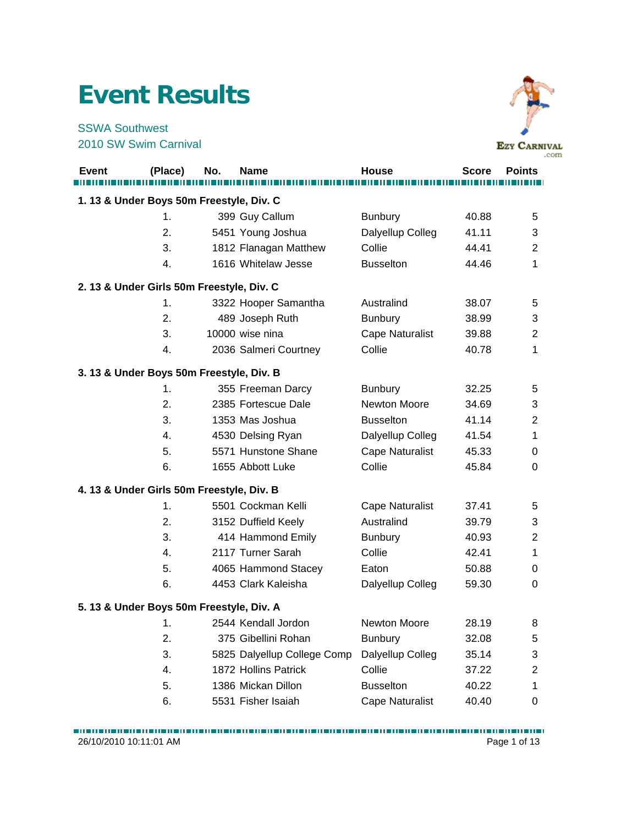## **Event Results**

SSWA Southwest 2010 SW Swim Carnival



|       |                                           |     |                             |                        |              | .com           |
|-------|-------------------------------------------|-----|-----------------------------|------------------------|--------------|----------------|
| Event | (Place)                                   | No. | Name                        | <b>House</b>           | <b>Score</b> | <b>Points</b>  |
|       | 1. 13 & Under Boys 50m Freestyle, Div. C  |     |                             |                        |              |                |
|       | 1.                                        |     | 399 Guy Callum              | <b>Bunbury</b>         | 40.88        | 5              |
|       | 2.                                        |     | 5451 Young Joshua           | Dalyellup Colleg       | 41.11        | 3              |
|       | 3.                                        |     | 1812 Flanagan Matthew       | Collie                 | 44.41        | 2              |
|       | 4.                                        |     | 1616 Whitelaw Jesse         | <b>Busselton</b>       | 44.46        | 1              |
|       | 2. 13 & Under Girls 50m Freestyle, Div. C |     |                             |                        |              |                |
|       | 1.                                        |     | 3322 Hooper Samantha        | Australind             | 38.07        | 5              |
|       | 2.                                        |     | 489 Joseph Ruth             | <b>Bunbury</b>         | 38.99        | 3              |
|       | 3.                                        |     | 10000 wise nina             | <b>Cape Naturalist</b> | 39.88        | $\overline{2}$ |
|       | 4.                                        |     | 2036 Salmeri Courtney       | Collie                 | 40.78        | 1              |
|       | 3. 13 & Under Boys 50m Freestyle, Div. B  |     |                             |                        |              |                |
|       | 1.                                        |     | 355 Freeman Darcy           | <b>Bunbury</b>         | 32.25        | 5              |
|       | 2.                                        |     | 2385 Fortescue Dale         | Newton Moore           | 34.69        | 3              |
|       | 3.                                        |     | 1353 Mas Joshua             | <b>Busselton</b>       | 41.14        | $\overline{2}$ |
|       | 4.                                        |     | 4530 Delsing Ryan           | Dalyellup Colleg       | 41.54        | 1              |
|       | 5.                                        |     | 5571 Hunstone Shane         | <b>Cape Naturalist</b> | 45.33        | 0              |
|       | 6.                                        |     | 1655 Abbott Luke            | Collie                 | 45.84        | 0              |
|       | 4. 13 & Under Girls 50m Freestyle, Div. B |     |                             |                        |              |                |
|       | 1.                                        |     | 5501 Cockman Kelli          | <b>Cape Naturalist</b> | 37.41        | 5              |
|       | 2.                                        |     | 3152 Duffield Keely         | Australind             | 39.79        | 3              |
|       | 3.                                        |     | 414 Hammond Emily           | <b>Bunbury</b>         | 40.93        | $\overline{2}$ |
|       | 4.                                        |     | 2117 Turner Sarah           | Collie                 | 42.41        | 1              |
|       | 5.                                        |     | 4065 Hammond Stacey         | Eaton                  | 50.88        | 0              |
|       | 6.                                        |     | 4453 Clark Kaleisha         | Dalyellup Colleg       | 59.30        | 0              |
|       | 5. 13 & Under Boys 50m Freestyle, Div. A  |     |                             |                        |              |                |
|       | 1.                                        |     | 2544 Kendall Jordon         | Newton Moore           | 28.19        | 8              |
|       | 2.                                        |     | 375 Gibellini Rohan         | <b>Bunbury</b>         | 32.08        | 5              |
|       | 3.                                        |     | 5825 Dalyellup College Comp | Dalyellup Colleg       | 35.14        | 3              |
|       | 4.                                        |     | 1872 Hollins Patrick        | Collie                 | 37.22        | 2              |
|       | 5.                                        |     | 1386 Mickan Dillon          | <b>Busselton</b>       | 40.22        | 1              |
|       | 6.                                        |     | 5531 Fisher Isaiah          | Cape Naturalist        | 40.40        | 0              |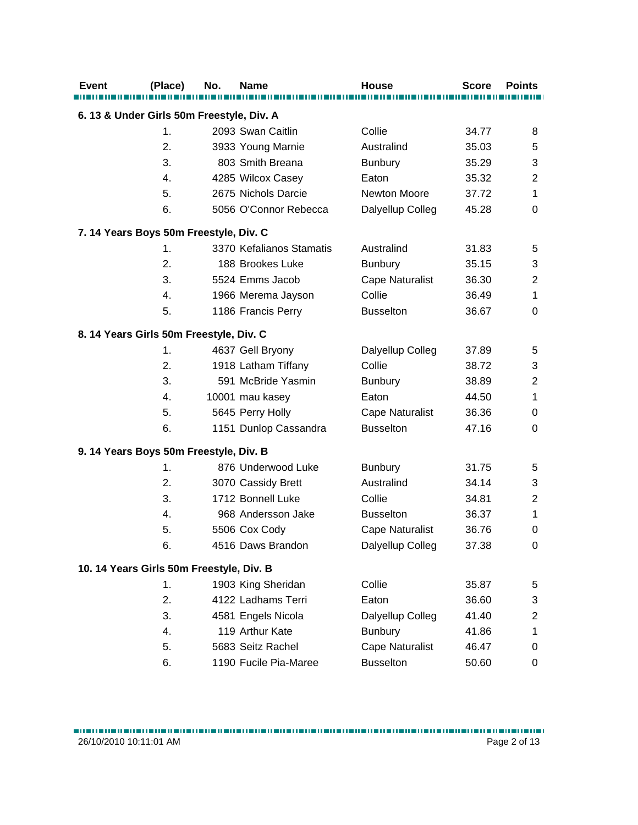| <b>Event</b> | (Place)                                   | No. | <b>Name</b>              | House                  | <b>Score</b> | <b>Points</b>    |
|--------------|-------------------------------------------|-----|--------------------------|------------------------|--------------|------------------|
|              | 6. 13 & Under Girls 50m Freestyle, Div. A |     |                          |                        |              |                  |
|              | 1.                                        |     | 2093 Swan Caitlin        | Collie                 | 34.77        | 8                |
|              | 2.                                        |     | 3933 Young Marnie        | Australind             | 35.03        | 5                |
|              | 3.                                        |     | 803 Smith Breana         | <b>Bunbury</b>         | 35.29        | 3                |
|              | 4.                                        |     | 4285 Wilcox Casey        | Eaton                  | 35.32        | $\overline{2}$   |
|              | 5.                                        |     | 2675 Nichols Darcie      | <b>Newton Moore</b>    | 37.72        | 1                |
|              | 6.                                        |     | 5056 O'Connor Rebecca    | Dalyellup Colleg       | 45.28        | $\mathbf 0$      |
|              | 7. 14 Years Boys 50m Freestyle, Div. C    |     |                          |                        |              |                  |
|              | 1.                                        |     | 3370 Kefalianos Stamatis | Australind             | 31.83        | 5                |
|              | 2.                                        |     | 188 Brookes Luke         | <b>Bunbury</b>         | 35.15        | 3                |
|              | 3.                                        |     | 5524 Emms Jacob          | <b>Cape Naturalist</b> | 36.30        | $\overline{2}$   |
|              | 4.                                        |     | 1966 Merema Jayson       | Collie                 | 36.49        | 1                |
|              | 5.                                        |     | 1186 Francis Perry       | <b>Busselton</b>       | 36.67        | $\mathbf 0$      |
|              | 8. 14 Years Girls 50m Freestyle, Div. C   |     |                          |                        |              |                  |
|              | 1.                                        |     | 4637 Gell Bryony         | Dalyellup Colleg       | 37.89        | 5                |
|              | 2.                                        |     | 1918 Latham Tiffany      | Collie                 | 38.72        | 3                |
|              | 3.                                        |     | 591 McBride Yasmin       | <b>Bunbury</b>         | 38.89        | $\overline{2}$   |
|              | 4.                                        |     | 10001 mau kasey          | Eaton                  | 44.50        | 1                |
|              | 5.                                        |     | 5645 Perry Holly         | <b>Cape Naturalist</b> | 36.36        | 0                |
|              | 6.                                        |     | 1151 Dunlop Cassandra    | <b>Busselton</b>       | 47.16        | $\Omega$         |
|              | 9. 14 Years Boys 50m Freestyle, Div. B    |     |                          |                        |              |                  |
|              | 1.                                        |     | 876 Underwood Luke       | <b>Bunbury</b>         | 31.75        | 5                |
|              | 2.                                        |     | 3070 Cassidy Brett       | Australind             | 34.14        | 3                |
|              | 3.                                        |     | 1712 Bonnell Luke        | Collie                 | 34.81        | $\overline{2}$   |
|              | 4.                                        |     | 968 Andersson Jake       | <b>Busselton</b>       | 36.37        | 1                |
|              | 5.                                        |     | 5506 Cox Cody            | <b>Cape Naturalist</b> | 36.76        | 0                |
|              | 6.                                        |     | 4516 Daws Brandon        | Dalyellup Colleg       | 37.38        | 0                |
|              | 10. 14 Years Girls 50m Freestyle, Div. B  |     |                          |                        |              |                  |
|              | 1.                                        |     | 1903 King Sheridan       | Collie                 | 35.87        | 5                |
|              | 2.                                        |     | 4122 Ladhams Terri       | Eaton                  | 36.60        | 3                |
|              | 3.                                        |     | 4581 Engels Nicola       | Dalyellup Colleg       | 41.40        | $\boldsymbol{2}$ |
|              | 4.                                        |     | 119 Arthur Kate          | <b>Bunbury</b>         | 41.86        | 1                |
|              | 5.                                        |     | 5683 Seitz Rachel        | <b>Cape Naturalist</b> | 46.47        | 0                |
|              | 6.                                        |     | 1190 Fucile Pia-Maree    | <b>Busselton</b>       | 50.60        | 0                |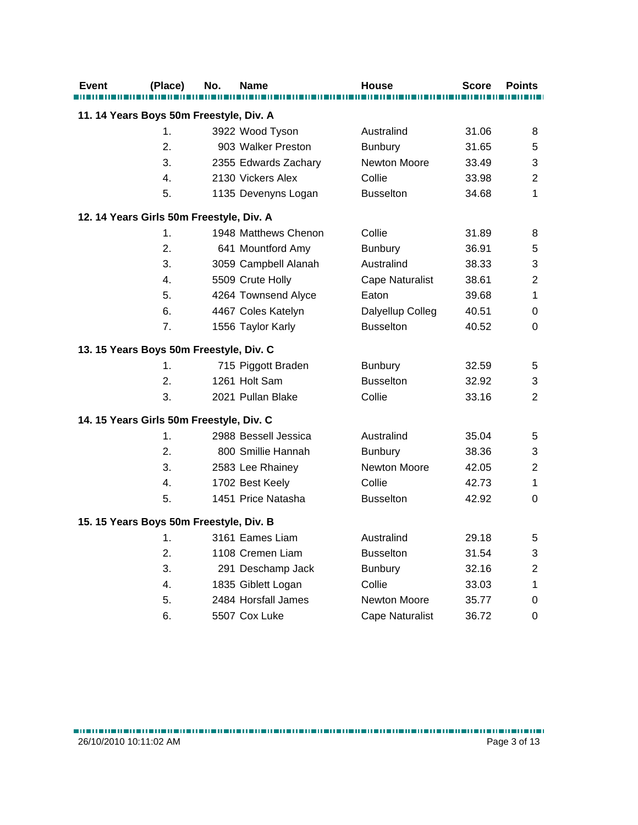| <b>Event</b>                             | (Place) | No. | <b>Name</b>          | House                  | <b>Score</b> | <b>Points</b>    |
|------------------------------------------|---------|-----|----------------------|------------------------|--------------|------------------|
|                                          |         |     |                      |                        |              |                  |
| 11. 14 Years Boys 50m Freestyle, Div. A  |         |     |                      |                        |              |                  |
|                                          | 1.      |     | 3922 Wood Tyson      | Australind             | 31.06        | 8                |
|                                          | 2.      |     | 903 Walker Preston   | <b>Bunbury</b>         | 31.65        | 5                |
|                                          | 3.      |     | 2355 Edwards Zachary | Newton Moore           | 33.49        | 3                |
|                                          | 4.      |     | 2130 Vickers Alex    | Collie                 | 33.98        | $\boldsymbol{2}$ |
|                                          | 5.      |     | 1135 Devenyns Logan  | <b>Busselton</b>       | 34.68        | 1                |
| 12. 14 Years Girls 50m Freestyle, Div. A |         |     |                      |                        |              |                  |
|                                          | 1.      |     | 1948 Matthews Chenon | Collie                 | 31.89        | 8                |
|                                          | 2.      |     | 641 Mountford Amy    | <b>Bunbury</b>         | 36.91        | 5                |
|                                          | 3.      |     | 3059 Campbell Alanah | Australind             | 38.33        | 3                |
|                                          | 4.      |     | 5509 Crute Holly     | <b>Cape Naturalist</b> | 38.61        | $\overline{2}$   |
|                                          | 5.      |     | 4264 Townsend Alyce  | Eaton                  | 39.68        | $\mathbf{1}$     |
|                                          | 6.      |     | 4467 Coles Katelyn   | Dalyellup Colleg       | 40.51        | 0                |
|                                          | 7.      |     | 1556 Taylor Karly    | <b>Busselton</b>       | 40.52        | 0                |
| 13. 15 Years Boys 50m Freestyle, Div. C  |         |     |                      |                        |              |                  |
|                                          | 1.      |     | 715 Piggott Braden   | <b>Bunbury</b>         | 32.59        | 5                |
|                                          | 2.      |     | 1261 Holt Sam        | <b>Busselton</b>       | 32.92        | 3                |
|                                          | 3.      |     | 2021 Pullan Blake    | Collie                 | 33.16        | $\overline{2}$   |
| 14. 15 Years Girls 50m Freestyle, Div. C |         |     |                      |                        |              |                  |
|                                          | 1.      |     | 2988 Bessell Jessica | Australind             | 35.04        | 5                |
|                                          | 2.      |     | 800 Smillie Hannah   | <b>Bunbury</b>         | 38.36        | 3                |
|                                          | 3.      |     | 2583 Lee Rhainey     | Newton Moore           | 42.05        | $\overline{2}$   |
|                                          | 4.      |     | 1702 Best Keely      | Collie                 | 42.73        | 1                |
|                                          | 5.      |     | 1451 Price Natasha   | <b>Busselton</b>       | 42.92        | $\mathbf 0$      |
| 15. 15 Years Boys 50m Freestyle, Div. B  |         |     |                      |                        |              |                  |
|                                          | 1.      |     | 3161 Eames Liam      | Australind             | 29.18        | 5                |
|                                          | 2.      |     | 1108 Cremen Liam     | <b>Busselton</b>       | 31.54        | 3                |
|                                          | 3.      |     | 291 Deschamp Jack    | Bunbury                | 32.16        | $\overline{c}$   |
|                                          | 4.      |     | 1835 Giblett Logan   | Collie                 | 33.03        | 1                |
|                                          | 5.      |     | 2484 Horsfall James  | Newton Moore           | 35.77        | 0                |
|                                          | 6.      |     | 5507 Cox Luke        | <b>Cape Naturalist</b> | 36.72        | 0                |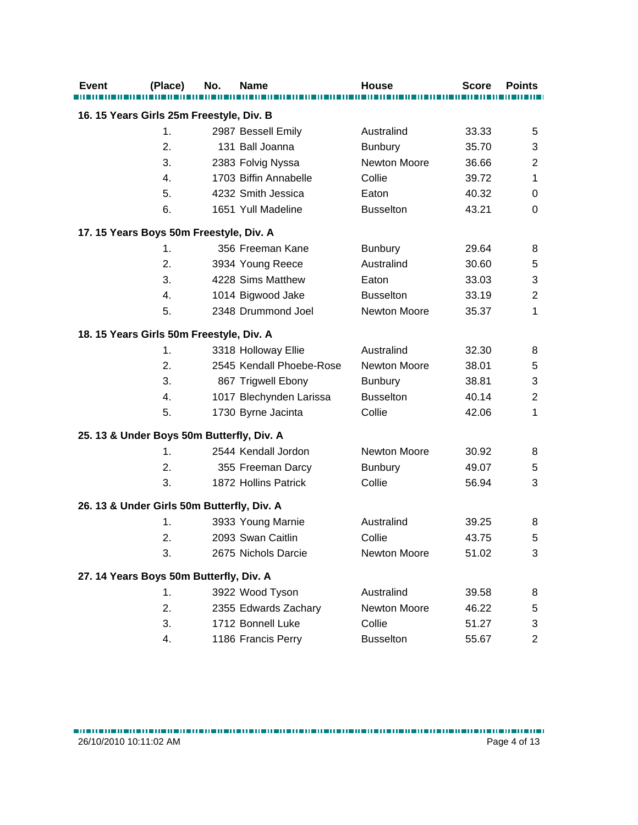| <b>Event</b>                               | (Place)       | No. | <b>Name</b>              | <b>House</b>        | <b>Score</b> | <b>Points</b>  |
|--------------------------------------------|---------------|-----|--------------------------|---------------------|--------------|----------------|
|                                            |               |     |                          |                     |              |                |
| 16. 15 Years Girls 25m Freestyle, Div. B   |               |     |                          |                     |              |                |
|                                            | 1.            |     | 2987 Bessell Emily       | Australind          | 33.33        | 5              |
|                                            | 2.            |     | 131 Ball Joanna          | Bunbury             | 35.70        | 3              |
|                                            | 3.            |     | 2383 Folvig Nyssa        | Newton Moore        | 36.66        | $\overline{c}$ |
|                                            | 4.            |     | 1703 Biffin Annabelle    | Collie              | 39.72        | 1              |
|                                            | 5.            |     | 4232 Smith Jessica       | Eaton               | 40.32        | 0              |
|                                            | 6.            |     | 1651 Yull Madeline       | <b>Busselton</b>    | 43.21        | 0              |
| 17. 15 Years Boys 50m Freestyle, Div. A    |               |     |                          |                     |              |                |
|                                            | $\mathbf 1$ . |     | 356 Freeman Kane         | <b>Bunbury</b>      | 29.64        | 8              |
|                                            | 2.            |     | 3934 Young Reece         | Australind          | 30.60        | 5              |
|                                            | 3.            |     | 4228 Sims Matthew        | Eaton               | 33.03        | 3              |
|                                            | 4.            |     | 1014 Bigwood Jake        | <b>Busselton</b>    | 33.19        | $\overline{2}$ |
|                                            | 5.            |     | 2348 Drummond Joel       | Newton Moore        | 35.37        | 1              |
| 18. 15 Years Girls 50m Freestyle, Div. A   |               |     |                          |                     |              |                |
|                                            | 1.            |     | 3318 Holloway Ellie      | Australind          | 32.30        | 8              |
|                                            | 2.            |     | 2545 Kendall Phoebe-Rose | <b>Newton Moore</b> | 38.01        | 5              |
|                                            | 3.            |     | 867 Trigwell Ebony       | <b>Bunbury</b>      | 38.81        | 3              |
|                                            | 4.            |     | 1017 Blechynden Larissa  | <b>Busselton</b>    | 40.14        | $\mathbf{2}$   |
|                                            | 5.            |     | 1730 Byrne Jacinta       | Collie              | 42.06        | 1              |
| 25. 13 & Under Boys 50m Butterfly, Div. A  |               |     |                          |                     |              |                |
|                                            | 1.            |     | 2544 Kendall Jordon      | Newton Moore        | 30.92        | 8              |
|                                            | 2.            |     | 355 Freeman Darcy        | <b>Bunbury</b>      | 49.07        | 5              |
|                                            | 3.            |     | 1872 Hollins Patrick     | Collie              | 56.94        | 3              |
| 26. 13 & Under Girls 50m Butterfly, Div. A |               |     |                          |                     |              |                |
|                                            | 1.            |     | 3933 Young Marnie        | Australind          | 39.25        | 8              |
|                                            | 2.            |     | 2093 Swan Caitlin        | Collie              | 43.75        | 5              |
|                                            | 3.            |     | 2675 Nichols Darcie      | Newton Moore        | 51.02        | 3              |
| 27. 14 Years Boys 50m Butterfly, Div. A    |               |     |                          |                     |              |                |
|                                            | 1.            |     | 3922 Wood Tyson          | Australind          | 39.58        | 8              |
|                                            | 2.            |     | 2355 Edwards Zachary     | <b>Newton Moore</b> | 46.22        | 5              |
|                                            | 3.            |     | 1712 Bonnell Luke        | Collie              | 51.27        | 3              |
|                                            | 4.            |     | 1186 Francis Perry       | <b>Busselton</b>    | 55.67        | 2              |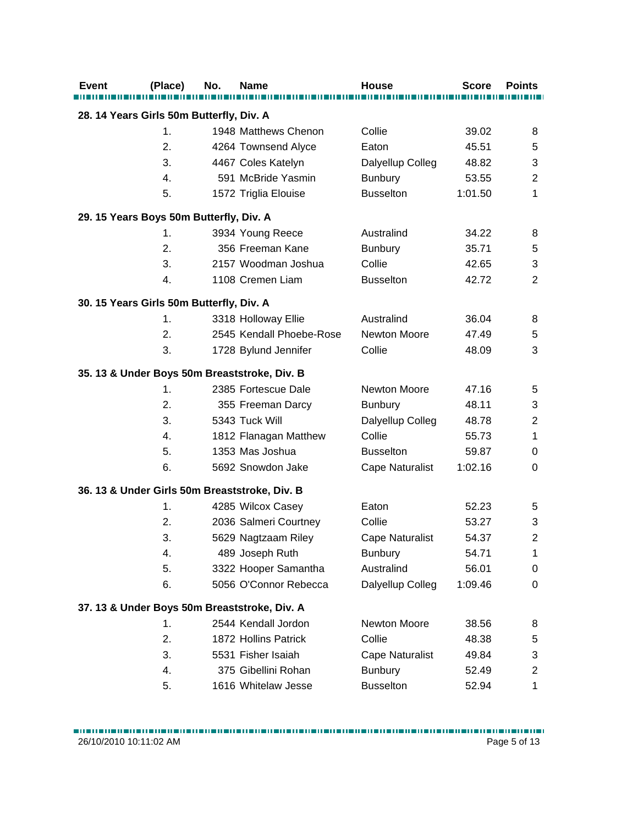| 28. 14 Years Girls 50m Butterfly, Div. A<br>1948 Matthews Chenon<br>1.<br>Collie<br>39.02<br>8<br>2.<br>45.51<br>4264 Townsend Alyce<br>Eaton<br>5<br>3.<br>3<br>4467 Coles Katelyn<br>Dalyellup Colleg<br>48.82<br>591 McBride Yasmin<br>$\boldsymbol{2}$<br>4.<br><b>Bunbury</b><br>53.55<br>5.<br><b>Busselton</b><br>1572 Triglia Elouise<br>1:01.50<br>1<br>29. 15 Years Boys 50m Butterfly, Div. A<br>3934 Young Reece<br>Australind<br>34.22<br>1.<br>8<br>2.<br>356 Freeman Kane<br><b>Bunbury</b><br>35.71<br>5<br>3.<br>2157 Woodman Joshua<br>Collie<br>3<br>42.65<br>1108 Cremen Liam<br>$\overline{2}$<br>4.<br><b>Busselton</b><br>42.72<br>30. 15 Years Girls 50m Butterfly, Div. A<br>3318 Holloway Ellie<br>Australind<br>36.04<br>1.<br>8<br>2545 Kendall Phoebe-Rose<br>Newton Moore<br>2.<br>47.49<br>5<br>3<br>3.<br>1728 Bylund Jennifer<br>Collie<br>48.09<br>35. 13 & Under Boys 50m Breaststroke, Div. B<br>2385 Fortescue Dale<br>Newton Moore<br>1.<br>47.16<br>5<br>3<br>2.<br>355 Freeman Darcy<br><b>Bunbury</b><br>48.11<br>3.<br>5343 Tuck Will<br>$\boldsymbol{2}$<br>Dalyellup Colleg<br>48.78<br>4.<br>1812 Flanagan Matthew<br>Collie<br>55.73<br>1<br>5.<br>1353 Mas Joshua<br><b>Busselton</b><br>59.87<br>0<br>6.<br>5692 Snowdon Jake<br><b>Cape Naturalist</b><br>1:02.16<br>0<br>36. 13 & Under Girls 50m Breaststroke, Div. B<br>1.<br>4285 Wilcox Casey<br>52.23<br>Eaton<br>5<br>2036 Salmeri Courtney<br>$\sqrt{3}$<br>2.<br>Collie<br>53.27<br>$\overline{\mathbf{c}}$<br>3.<br>54.37<br>5629 Nagtzaam Riley<br><b>Cape Naturalist</b><br>54.71<br>4.<br>489 Joseph Ruth<br><b>Bunbury</b><br>1<br>5.<br>Australind<br>3322 Hooper Samantha<br>56.01<br>0<br>6.<br>5056 O'Connor Rebecca<br>Dalyellup Colleg<br>1:09.46<br>$\mathbf 0$<br>37. 13 & Under Boys 50m Breaststroke, Div. A<br>2544 Kendall Jordon<br>Newton Moore<br>38.56<br>1.<br>8<br>2.<br>Collie<br>1872 Hollins Patrick<br>48.38<br>5<br>3.<br>3<br>5531 Fisher Isaiah<br><b>Cape Naturalist</b><br>49.84<br>375 Gibellini Rohan<br><b>Bunbury</b><br>52.49<br>$\overline{\mathbf{c}}$<br>4. | <b>Event</b> | (Place) | No. | <b>Name</b>         | <b>House</b>     | <b>Score</b> | <b>Points</b> |  |  |  |
|---------------------------------------------------------------------------------------------------------------------------------------------------------------------------------------------------------------------------------------------------------------------------------------------------------------------------------------------------------------------------------------------------------------------------------------------------------------------------------------------------------------------------------------------------------------------------------------------------------------------------------------------------------------------------------------------------------------------------------------------------------------------------------------------------------------------------------------------------------------------------------------------------------------------------------------------------------------------------------------------------------------------------------------------------------------------------------------------------------------------------------------------------------------------------------------------------------------------------------------------------------------------------------------------------------------------------------------------------------------------------------------------------------------------------------------------------------------------------------------------------------------------------------------------------------------------------------------------------------------------------------------------------------------------------------------------------------------------------------------------------------------------------------------------------------------------------------------------------------------------------------------------------------------------------------------------------------------------------------------------------------------------------------------------------------------------------------------------------------------|--------------|---------|-----|---------------------|------------------|--------------|---------------|--|--|--|
|                                                                                                                                                                                                                                                                                                                                                                                                                                                                                                                                                                                                                                                                                                                                                                                                                                                                                                                                                                                                                                                                                                                                                                                                                                                                                                                                                                                                                                                                                                                                                                                                                                                                                                                                                                                                                                                                                                                                                                                                                                                                                                               |              |         |     |                     |                  |              |               |  |  |  |
|                                                                                                                                                                                                                                                                                                                                                                                                                                                                                                                                                                                                                                                                                                                                                                                                                                                                                                                                                                                                                                                                                                                                                                                                                                                                                                                                                                                                                                                                                                                                                                                                                                                                                                                                                                                                                                                                                                                                                                                                                                                                                                               |              |         |     |                     |                  |              |               |  |  |  |
|                                                                                                                                                                                                                                                                                                                                                                                                                                                                                                                                                                                                                                                                                                                                                                                                                                                                                                                                                                                                                                                                                                                                                                                                                                                                                                                                                                                                                                                                                                                                                                                                                                                                                                                                                                                                                                                                                                                                                                                                                                                                                                               |              |         |     |                     |                  |              |               |  |  |  |
|                                                                                                                                                                                                                                                                                                                                                                                                                                                                                                                                                                                                                                                                                                                                                                                                                                                                                                                                                                                                                                                                                                                                                                                                                                                                                                                                                                                                                                                                                                                                                                                                                                                                                                                                                                                                                                                                                                                                                                                                                                                                                                               |              |         |     |                     |                  |              |               |  |  |  |
|                                                                                                                                                                                                                                                                                                                                                                                                                                                                                                                                                                                                                                                                                                                                                                                                                                                                                                                                                                                                                                                                                                                                                                                                                                                                                                                                                                                                                                                                                                                                                                                                                                                                                                                                                                                                                                                                                                                                                                                                                                                                                                               |              |         |     |                     |                  |              |               |  |  |  |
|                                                                                                                                                                                                                                                                                                                                                                                                                                                                                                                                                                                                                                                                                                                                                                                                                                                                                                                                                                                                                                                                                                                                                                                                                                                                                                                                                                                                                                                                                                                                                                                                                                                                                                                                                                                                                                                                                                                                                                                                                                                                                                               |              |         |     |                     |                  |              |               |  |  |  |
|                                                                                                                                                                                                                                                                                                                                                                                                                                                                                                                                                                                                                                                                                                                                                                                                                                                                                                                                                                                                                                                                                                                                                                                                                                                                                                                                                                                                                                                                                                                                                                                                                                                                                                                                                                                                                                                                                                                                                                                                                                                                                                               |              |         |     |                     |                  |              |               |  |  |  |
|                                                                                                                                                                                                                                                                                                                                                                                                                                                                                                                                                                                                                                                                                                                                                                                                                                                                                                                                                                                                                                                                                                                                                                                                                                                                                                                                                                                                                                                                                                                                                                                                                                                                                                                                                                                                                                                                                                                                                                                                                                                                                                               |              |         |     |                     |                  |              |               |  |  |  |
|                                                                                                                                                                                                                                                                                                                                                                                                                                                                                                                                                                                                                                                                                                                                                                                                                                                                                                                                                                                                                                                                                                                                                                                                                                                                                                                                                                                                                                                                                                                                                                                                                                                                                                                                                                                                                                                                                                                                                                                                                                                                                                               |              |         |     |                     |                  |              |               |  |  |  |
|                                                                                                                                                                                                                                                                                                                                                                                                                                                                                                                                                                                                                                                                                                                                                                                                                                                                                                                                                                                                                                                                                                                                                                                                                                                                                                                                                                                                                                                                                                                                                                                                                                                                                                                                                                                                                                                                                                                                                                                                                                                                                                               |              |         |     |                     |                  |              |               |  |  |  |
|                                                                                                                                                                                                                                                                                                                                                                                                                                                                                                                                                                                                                                                                                                                                                                                                                                                                                                                                                                                                                                                                                                                                                                                                                                                                                                                                                                                                                                                                                                                                                                                                                                                                                                                                                                                                                                                                                                                                                                                                                                                                                                               |              |         |     |                     |                  |              |               |  |  |  |
|                                                                                                                                                                                                                                                                                                                                                                                                                                                                                                                                                                                                                                                                                                                                                                                                                                                                                                                                                                                                                                                                                                                                                                                                                                                                                                                                                                                                                                                                                                                                                                                                                                                                                                                                                                                                                                                                                                                                                                                                                                                                                                               |              |         |     |                     |                  |              |               |  |  |  |
|                                                                                                                                                                                                                                                                                                                                                                                                                                                                                                                                                                                                                                                                                                                                                                                                                                                                                                                                                                                                                                                                                                                                                                                                                                                                                                                                                                                                                                                                                                                                                                                                                                                                                                                                                                                                                                                                                                                                                                                                                                                                                                               |              |         |     |                     |                  |              |               |  |  |  |
|                                                                                                                                                                                                                                                                                                                                                                                                                                                                                                                                                                                                                                                                                                                                                                                                                                                                                                                                                                                                                                                                                                                                                                                                                                                                                                                                                                                                                                                                                                                                                                                                                                                                                                                                                                                                                                                                                                                                                                                                                                                                                                               |              |         |     |                     |                  |              |               |  |  |  |
|                                                                                                                                                                                                                                                                                                                                                                                                                                                                                                                                                                                                                                                                                                                                                                                                                                                                                                                                                                                                                                                                                                                                                                                                                                                                                                                                                                                                                                                                                                                                                                                                                                                                                                                                                                                                                                                                                                                                                                                                                                                                                                               |              |         |     |                     |                  |              |               |  |  |  |
|                                                                                                                                                                                                                                                                                                                                                                                                                                                                                                                                                                                                                                                                                                                                                                                                                                                                                                                                                                                                                                                                                                                                                                                                                                                                                                                                                                                                                                                                                                                                                                                                                                                                                                                                                                                                                                                                                                                                                                                                                                                                                                               |              |         |     |                     |                  |              |               |  |  |  |
|                                                                                                                                                                                                                                                                                                                                                                                                                                                                                                                                                                                                                                                                                                                                                                                                                                                                                                                                                                                                                                                                                                                                                                                                                                                                                                                                                                                                                                                                                                                                                                                                                                                                                                                                                                                                                                                                                                                                                                                                                                                                                                               |              |         |     |                     |                  |              |               |  |  |  |
|                                                                                                                                                                                                                                                                                                                                                                                                                                                                                                                                                                                                                                                                                                                                                                                                                                                                                                                                                                                                                                                                                                                                                                                                                                                                                                                                                                                                                                                                                                                                                                                                                                                                                                                                                                                                                                                                                                                                                                                                                                                                                                               |              |         |     |                     |                  |              |               |  |  |  |
|                                                                                                                                                                                                                                                                                                                                                                                                                                                                                                                                                                                                                                                                                                                                                                                                                                                                                                                                                                                                                                                                                                                                                                                                                                                                                                                                                                                                                                                                                                                                                                                                                                                                                                                                                                                                                                                                                                                                                                                                                                                                                                               |              |         |     |                     |                  |              |               |  |  |  |
|                                                                                                                                                                                                                                                                                                                                                                                                                                                                                                                                                                                                                                                                                                                                                                                                                                                                                                                                                                                                                                                                                                                                                                                                                                                                                                                                                                                                                                                                                                                                                                                                                                                                                                                                                                                                                                                                                                                                                                                                                                                                                                               |              |         |     |                     |                  |              |               |  |  |  |
|                                                                                                                                                                                                                                                                                                                                                                                                                                                                                                                                                                                                                                                                                                                                                                                                                                                                                                                                                                                                                                                                                                                                                                                                                                                                                                                                                                                                                                                                                                                                                                                                                                                                                                                                                                                                                                                                                                                                                                                                                                                                                                               |              |         |     |                     |                  |              |               |  |  |  |
|                                                                                                                                                                                                                                                                                                                                                                                                                                                                                                                                                                                                                                                                                                                                                                                                                                                                                                                                                                                                                                                                                                                                                                                                                                                                                                                                                                                                                                                                                                                                                                                                                                                                                                                                                                                                                                                                                                                                                                                                                                                                                                               |              |         |     |                     |                  |              |               |  |  |  |
|                                                                                                                                                                                                                                                                                                                                                                                                                                                                                                                                                                                                                                                                                                                                                                                                                                                                                                                                                                                                                                                                                                                                                                                                                                                                                                                                                                                                                                                                                                                                                                                                                                                                                                                                                                                                                                                                                                                                                                                                                                                                                                               |              |         |     |                     |                  |              |               |  |  |  |
|                                                                                                                                                                                                                                                                                                                                                                                                                                                                                                                                                                                                                                                                                                                                                                                                                                                                                                                                                                                                                                                                                                                                                                                                                                                                                                                                                                                                                                                                                                                                                                                                                                                                                                                                                                                                                                                                                                                                                                                                                                                                                                               |              |         |     |                     |                  |              |               |  |  |  |
|                                                                                                                                                                                                                                                                                                                                                                                                                                                                                                                                                                                                                                                                                                                                                                                                                                                                                                                                                                                                                                                                                                                                                                                                                                                                                                                                                                                                                                                                                                                                                                                                                                                                                                                                                                                                                                                                                                                                                                                                                                                                                                               |              |         |     |                     |                  |              |               |  |  |  |
|                                                                                                                                                                                                                                                                                                                                                                                                                                                                                                                                                                                                                                                                                                                                                                                                                                                                                                                                                                                                                                                                                                                                                                                                                                                                                                                                                                                                                                                                                                                                                                                                                                                                                                                                                                                                                                                                                                                                                                                                                                                                                                               |              |         |     |                     |                  |              |               |  |  |  |
|                                                                                                                                                                                                                                                                                                                                                                                                                                                                                                                                                                                                                                                                                                                                                                                                                                                                                                                                                                                                                                                                                                                                                                                                                                                                                                                                                                                                                                                                                                                                                                                                                                                                                                                                                                                                                                                                                                                                                                                                                                                                                                               |              |         |     |                     |                  |              |               |  |  |  |
|                                                                                                                                                                                                                                                                                                                                                                                                                                                                                                                                                                                                                                                                                                                                                                                                                                                                                                                                                                                                                                                                                                                                                                                                                                                                                                                                                                                                                                                                                                                                                                                                                                                                                                                                                                                                                                                                                                                                                                                                                                                                                                               |              |         |     |                     |                  |              |               |  |  |  |
|                                                                                                                                                                                                                                                                                                                                                                                                                                                                                                                                                                                                                                                                                                                                                                                                                                                                                                                                                                                                                                                                                                                                                                                                                                                                                                                                                                                                                                                                                                                                                                                                                                                                                                                                                                                                                                                                                                                                                                                                                                                                                                               |              |         |     |                     |                  |              |               |  |  |  |
|                                                                                                                                                                                                                                                                                                                                                                                                                                                                                                                                                                                                                                                                                                                                                                                                                                                                                                                                                                                                                                                                                                                                                                                                                                                                                                                                                                                                                                                                                                                                                                                                                                                                                                                                                                                                                                                                                                                                                                                                                                                                                                               |              |         |     |                     |                  |              |               |  |  |  |
|                                                                                                                                                                                                                                                                                                                                                                                                                                                                                                                                                                                                                                                                                                                                                                                                                                                                                                                                                                                                                                                                                                                                                                                                                                                                                                                                                                                                                                                                                                                                                                                                                                                                                                                                                                                                                                                                                                                                                                                                                                                                                                               |              |         |     |                     |                  |              |               |  |  |  |
|                                                                                                                                                                                                                                                                                                                                                                                                                                                                                                                                                                                                                                                                                                                                                                                                                                                                                                                                                                                                                                                                                                                                                                                                                                                                                                                                                                                                                                                                                                                                                                                                                                                                                                                                                                                                                                                                                                                                                                                                                                                                                                               |              |         |     |                     |                  |              |               |  |  |  |
|                                                                                                                                                                                                                                                                                                                                                                                                                                                                                                                                                                                                                                                                                                                                                                                                                                                                                                                                                                                                                                                                                                                                                                                                                                                                                                                                                                                                                                                                                                                                                                                                                                                                                                                                                                                                                                                                                                                                                                                                                                                                                                               |              |         |     |                     |                  |              |               |  |  |  |
|                                                                                                                                                                                                                                                                                                                                                                                                                                                                                                                                                                                                                                                                                                                                                                                                                                                                                                                                                                                                                                                                                                                                                                                                                                                                                                                                                                                                                                                                                                                                                                                                                                                                                                                                                                                                                                                                                                                                                                                                                                                                                                               |              |         |     |                     |                  |              |               |  |  |  |
|                                                                                                                                                                                                                                                                                                                                                                                                                                                                                                                                                                                                                                                                                                                                                                                                                                                                                                                                                                                                                                                                                                                                                                                                                                                                                                                                                                                                                                                                                                                                                                                                                                                                                                                                                                                                                                                                                                                                                                                                                                                                                                               |              |         |     |                     |                  |              |               |  |  |  |
|                                                                                                                                                                                                                                                                                                                                                                                                                                                                                                                                                                                                                                                                                                                                                                                                                                                                                                                                                                                                                                                                                                                                                                                                                                                                                                                                                                                                                                                                                                                                                                                                                                                                                                                                                                                                                                                                                                                                                                                                                                                                                                               |              | 5.      |     | 1616 Whitelaw Jesse | <b>Busselton</b> | 52.94        | 1             |  |  |  |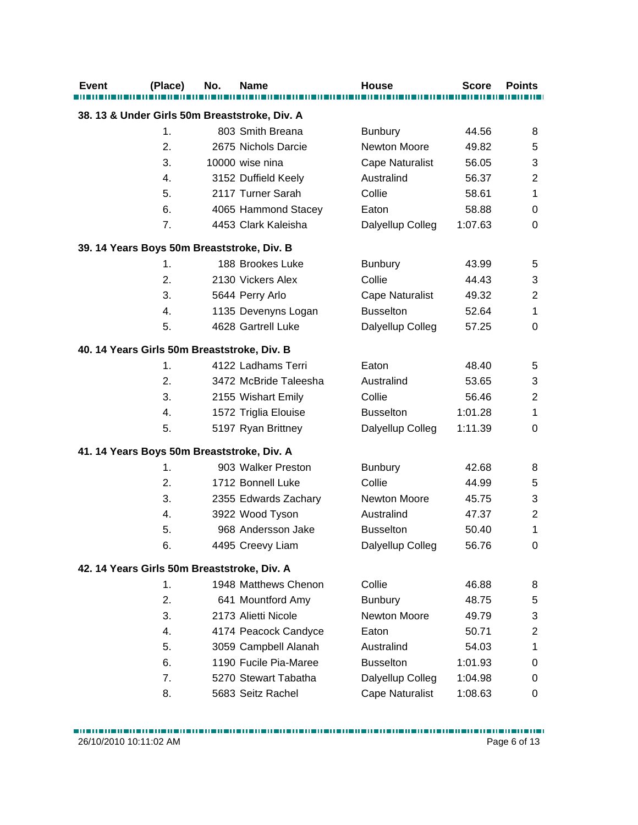| <b>Event</b>                                | (Place)       | No. | <b>Name</b>                                   | <b>House</b>           | <b>Score</b> | <b>Points</b>             |
|---------------------------------------------|---------------|-----|-----------------------------------------------|------------------------|--------------|---------------------------|
|                                             |               |     | 38. 13 & Under Girls 50m Breaststroke, Div. A |                        |              |                           |
|                                             | 1.            |     | 803 Smith Breana                              | <b>Bunbury</b>         | 44.56        | 8                         |
|                                             | 2.            |     | 2675 Nichols Darcie                           | Newton Moore           | 49.82        | 5                         |
|                                             | 3.            |     | 10000 wise nina                               | Cape Naturalist        | 56.05        | 3                         |
|                                             | 4.            |     | 3152 Duffield Keely                           | Australind             | 56.37        | $\overline{2}$            |
|                                             | 5.            |     | 2117 Turner Sarah                             | Collie                 | 58.61        | 1                         |
|                                             | 6.            |     | 4065 Hammond Stacey                           | Eaton                  | 58.88        | 0                         |
|                                             | 7.            |     | 4453 Clark Kaleisha                           | Dalyellup Colleg       | 1:07.63      | $\mathbf 0$               |
| 39. 14 Years Boys 50m Breaststroke, Div. B  |               |     |                                               |                        |              |                           |
|                                             | $\mathbf 1$ . |     | 188 Brookes Luke                              | <b>Bunbury</b>         | 43.99        | 5                         |
|                                             | 2.            |     | 2130 Vickers Alex                             | Collie                 | 44.43        | $\ensuremath{\mathsf{3}}$ |
|                                             | 3.            |     | 5644 Perry Arlo                               | <b>Cape Naturalist</b> | 49.32        | $\overline{2}$            |
|                                             | 4.            |     | 1135 Devenyns Logan                           | <b>Busselton</b>       | 52.64        | 1                         |
|                                             | 5.            |     | 4628 Gartrell Luke                            | Dalyellup Colleg       | 57.25        | $\mathbf 0$               |
| 40. 14 Years Girls 50m Breaststroke, Div. B |               |     |                                               |                        |              |                           |
|                                             | 1.            |     | 4122 Ladhams Terri                            | Eaton                  | 48.40        | 5                         |
|                                             | 2.            |     | 3472 McBride Taleesha                         | Australind             | 53.65        | 3                         |
|                                             | 3.            |     | 2155 Wishart Emily                            | Collie                 | 56.46        | $\overline{2}$            |
|                                             | 4.            |     | 1572 Triglia Elouise                          | <b>Busselton</b>       | 1:01.28      | 1                         |
|                                             | 5.            |     | 5197 Ryan Brittney                            | Dalyellup Colleg       | 1:11.39      | 0                         |
| 41. 14 Years Boys 50m Breaststroke, Div. A  |               |     |                                               |                        |              |                           |
|                                             | 1.            |     | 903 Walker Preston                            | <b>Bunbury</b>         | 42.68        | 8                         |
|                                             | 2.            |     | 1712 Bonnell Luke                             | Collie                 | 44.99        | 5                         |
|                                             | 3.            |     | 2355 Edwards Zachary                          | Newton Moore           | 45.75        | 3                         |
|                                             | 4.            |     | 3922 Wood Tyson                               | Australind             | 47.37        | $\overline{2}$            |
|                                             | 5.            |     | 968 Andersson Jake                            | <b>Busselton</b>       | 50.40        | 1                         |
|                                             | 6.            |     | 4495 Creevy Liam                              | Dalyellup Colleg       | 56.76        | 0                         |
| 42. 14 Years Girls 50m Breaststroke, Div. A |               |     |                                               |                        |              |                           |
|                                             | 1.            |     | 1948 Matthews Chenon                          | Collie                 | 46.88        | 8                         |
|                                             | 2.            |     | 641 Mountford Amy                             | <b>Bunbury</b>         | 48.75        | 5                         |
|                                             | 3.            |     | 2173 Alietti Nicole                           | Newton Moore           | 49.79        | 3                         |
|                                             | 4.            |     | 4174 Peacock Candyce                          | Eaton                  | 50.71        | $\overline{2}$            |
|                                             | 5.            |     | 3059 Campbell Alanah                          | Australind             | 54.03        | 1                         |
|                                             | 6.            |     | 1190 Fucile Pia-Maree                         | <b>Busselton</b>       | 1:01.93      | 0                         |
|                                             | 7.            |     | 5270 Stewart Tabatha                          | Dalyellup Colleg       | 1:04.98      | 0                         |
|                                             | 8.            |     | 5683 Seitz Rachel                             | Cape Naturalist        | 1:08.63      | 0                         |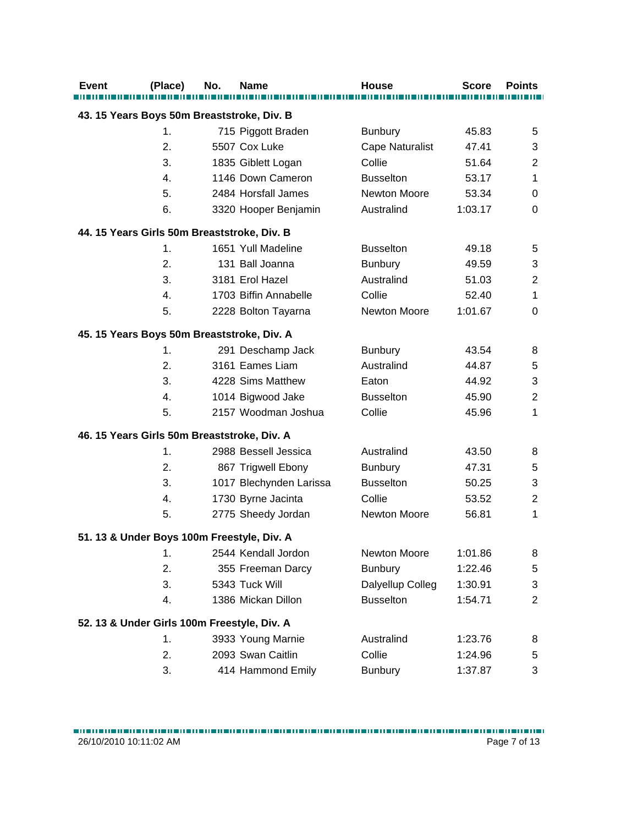| <b>Event</b>                                | (Place)       | No. | <b>Name</b>             | <b>House</b>           | <b>Score</b> | <b>Points</b>  |  |  |  |
|---------------------------------------------|---------------|-----|-------------------------|------------------------|--------------|----------------|--|--|--|
| 43. 15 Years Boys 50m Breaststroke, Div. B  |               |     |                         |                        |              |                |  |  |  |
|                                             | 1.            |     | 715 Piggott Braden      | <b>Bunbury</b>         | 45.83        | 5              |  |  |  |
|                                             | 2.            |     | 5507 Cox Luke           | <b>Cape Naturalist</b> | 47.41        | 3              |  |  |  |
|                                             | 3.            |     | 1835 Giblett Logan      | Collie                 | 51.64        | $\overline{2}$ |  |  |  |
|                                             | 4.            |     | 1146 Down Cameron       | <b>Busselton</b>       | 53.17        | 1              |  |  |  |
|                                             | 5.            |     | 2484 Horsfall James     | <b>Newton Moore</b>    | 53.34        | 0              |  |  |  |
|                                             | 6.            |     | 3320 Hooper Benjamin    | Australind             | 1:03.17      | $\mathbf 0$    |  |  |  |
| 44. 15 Years Girls 50m Breaststroke, Div. B |               |     |                         |                        |              |                |  |  |  |
|                                             | $\mathbf 1$ . |     | 1651 Yull Madeline      | <b>Busselton</b>       | 49.18        | 5              |  |  |  |
|                                             | 2.            |     | 131 Ball Joanna         | <b>Bunbury</b>         | 49.59        | 3              |  |  |  |
|                                             | 3.            |     | 3181 Erol Hazel         | Australind             | 51.03        | $\overline{2}$ |  |  |  |
|                                             | 4.            |     | 1703 Biffin Annabelle   | Collie                 | 52.40        | 1              |  |  |  |
|                                             | 5.            |     | 2228 Bolton Tayarna     | <b>Newton Moore</b>    | 1:01.67      | $\mathbf 0$    |  |  |  |
| 45. 15 Years Boys 50m Breaststroke, Div. A  |               |     |                         |                        |              |                |  |  |  |
|                                             | 1.            |     | 291 Deschamp Jack       | <b>Bunbury</b>         | 43.54        | 8              |  |  |  |
|                                             | 2.            |     | 3161 Eames Liam         | Australind             | 44.87        | 5              |  |  |  |
|                                             | 3.            |     | 4228 Sims Matthew       | Eaton                  | 44.92        | 3              |  |  |  |
|                                             | 4.            |     | 1014 Bigwood Jake       | <b>Busselton</b>       | 45.90        | $\overline{2}$ |  |  |  |
|                                             | 5.            |     | 2157 Woodman Joshua     | Collie                 | 45.96        | 1              |  |  |  |
| 46. 15 Years Girls 50m Breaststroke, Div. A |               |     |                         |                        |              |                |  |  |  |
|                                             | $\mathbf 1$ . |     | 2988 Bessell Jessica    | Australind             | 43.50        | 8              |  |  |  |
|                                             | 2.            |     | 867 Trigwell Ebony      | <b>Bunbury</b>         | 47.31        | 5              |  |  |  |
|                                             | 3.            |     | 1017 Blechynden Larissa | <b>Busselton</b>       | 50.25        | 3              |  |  |  |
|                                             | 4.            |     | 1730 Byrne Jacinta      | Collie                 | 53.52        | $\overline{2}$ |  |  |  |
|                                             | 5.            |     | 2775 Sheedy Jordan      | Newton Moore           | 56.81        | 1              |  |  |  |
| 51. 13 & Under Boys 100m Freestyle, Div. A  |               |     |                         |                        |              |                |  |  |  |
|                                             | 1.            |     | 2544 Kendall Jordon     | Newton Moore           | 1:01.86      | 8              |  |  |  |
|                                             | 2.            |     | 355 Freeman Darcy       | <b>Bunbury</b>         | 1:22.46      | 5              |  |  |  |
|                                             | 3.            |     | 5343 Tuck Will          | Dalyellup Colleg       | 1:30.91      | 3              |  |  |  |
|                                             | 4.            |     | 1386 Mickan Dillon      | <b>Busselton</b>       | 1:54.71      | $\overline{2}$ |  |  |  |
| 52. 13 & Under Girls 100m Freestyle, Div. A |               |     |                         |                        |              |                |  |  |  |
|                                             | $\mathbf 1$ . |     | 3933 Young Marnie       | Australind             | 1:23.76      | 8              |  |  |  |
|                                             | 2.            |     | 2093 Swan Caitlin       | Collie                 | 1:24.96      | 5              |  |  |  |
|                                             | 3.            |     | 414 Hammond Emily       | <b>Bunbury</b>         | 1:37.87      | 3              |  |  |  |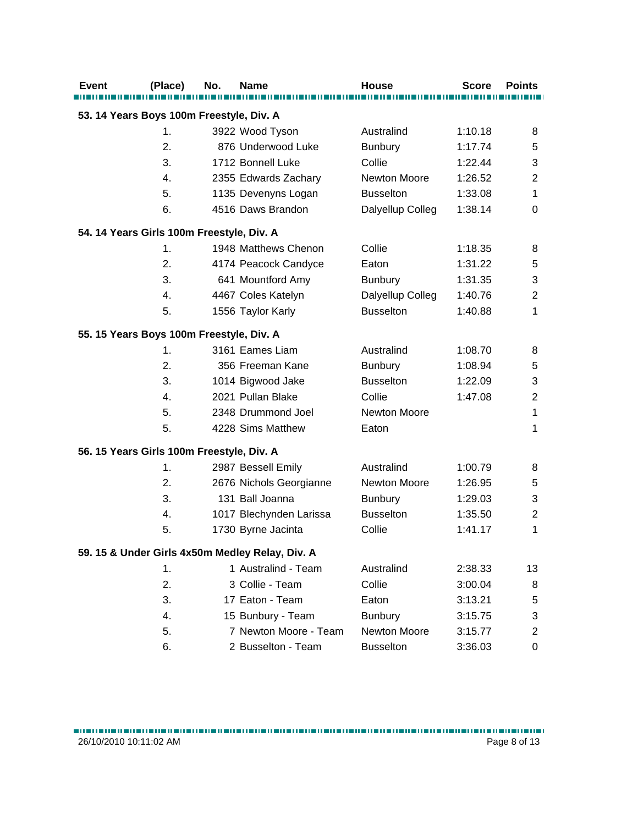| <b>Event</b> | (Place)                                   | No. | <b>Name</b>                                     | <b>House</b>        | <b>Score</b> | <b>Points</b>    |
|--------------|-------------------------------------------|-----|-------------------------------------------------|---------------------|--------------|------------------|
|              | 53. 14 Years Boys 100m Freestyle, Div. A  |     |                                                 |                     |              |                  |
|              | 1.                                        |     | 3922 Wood Tyson                                 | Australind          | 1:10.18      | 8                |
|              | 2.                                        |     | 876 Underwood Luke                              | <b>Bunbury</b>      | 1:17.74      | 5                |
|              | 3.                                        |     | 1712 Bonnell Luke                               | Collie              | 1:22.44      | 3                |
|              | 4.                                        |     | 2355 Edwards Zachary                            | Newton Moore        | 1:26.52      | $\boldsymbol{2}$ |
|              | 5.                                        |     | 1135 Devenyns Logan                             | <b>Busselton</b>    | 1:33.08      | 1                |
|              | 6.                                        |     | 4516 Daws Brandon                               | Dalyellup Colleg    | 1:38.14      | 0                |
|              | 54. 14 Years Girls 100m Freestyle, Div. A |     |                                                 |                     |              |                  |
|              | 1.                                        |     | 1948 Matthews Chenon                            | Collie              | 1:18.35      | 8                |
|              | 2.                                        |     | 4174 Peacock Candyce                            | Eaton               | 1:31.22      | 5                |
|              | 3.                                        |     | 641 Mountford Amy                               | <b>Bunbury</b>      | 1:31.35      | 3                |
|              | 4.                                        |     | 4467 Coles Katelyn                              | Dalyellup Colleg    | 1:40.76      | $\overline{c}$   |
|              | 5.                                        |     | 1556 Taylor Karly                               | <b>Busselton</b>    | 1:40.88      | 1                |
|              | 55. 15 Years Boys 100m Freestyle, Div. A  |     |                                                 |                     |              |                  |
|              | 1.                                        |     | 3161 Eames Liam                                 | Australind          | 1:08.70      | 8                |
|              | 2.                                        |     | 356 Freeman Kane                                | <b>Bunbury</b>      | 1:08.94      | 5                |
|              | 3.                                        |     | 1014 Bigwood Jake                               | <b>Busselton</b>    | 1:22.09      | 3                |
|              | 4.                                        |     | 2021 Pullan Blake                               | Collie              | 1:47.08      | $\boldsymbol{2}$ |
|              | 5.                                        |     | 2348 Drummond Joel                              | Newton Moore        |              | 1                |
|              | 5.                                        |     | 4228 Sims Matthew                               | Eaton               |              | 1                |
|              | 56. 15 Years Girls 100m Freestyle, Div. A |     |                                                 |                     |              |                  |
|              | 1.                                        |     | 2987 Bessell Emily                              | Australind          | 1:00.79      | 8                |
|              | 2.                                        |     | 2676 Nichols Georgianne                         | <b>Newton Moore</b> | 1:26.95      | 5                |
|              | 3.                                        |     | 131 Ball Joanna                                 | <b>Bunbury</b>      | 1:29.03      | 3                |
|              | 4.                                        |     | 1017 Blechynden Larissa                         | <b>Busselton</b>    | 1:35.50      | $\mathbf{2}$     |
|              | 5.                                        |     | 1730 Byrne Jacinta                              | Collie              | 1:41.17      | 1                |
|              |                                           |     | 59. 15 & Under Girls 4x50m Medley Relay, Div. A |                     |              |                  |
|              | 1.                                        |     | 1 Australind - Team                             | Australind          | 2:38.33      | 13               |
|              | 2.                                        |     | 3 Collie - Team                                 | Collie              | 3:00.04      | 8                |
|              | 3.                                        |     | 17 Eaton - Team                                 | Eaton               | 3:13.21      | 5                |
|              | 4.                                        |     | 15 Bunbury - Team                               | <b>Bunbury</b>      | 3:15.75      | 3                |
|              | 5.                                        |     | 7 Newton Moore - Team                           | Newton Moore        | 3:15.77      | $\overline{c}$   |
|              | 6.                                        |     | 2 Busselton - Team                              | <b>Busselton</b>    | 3:36.03      | 0                |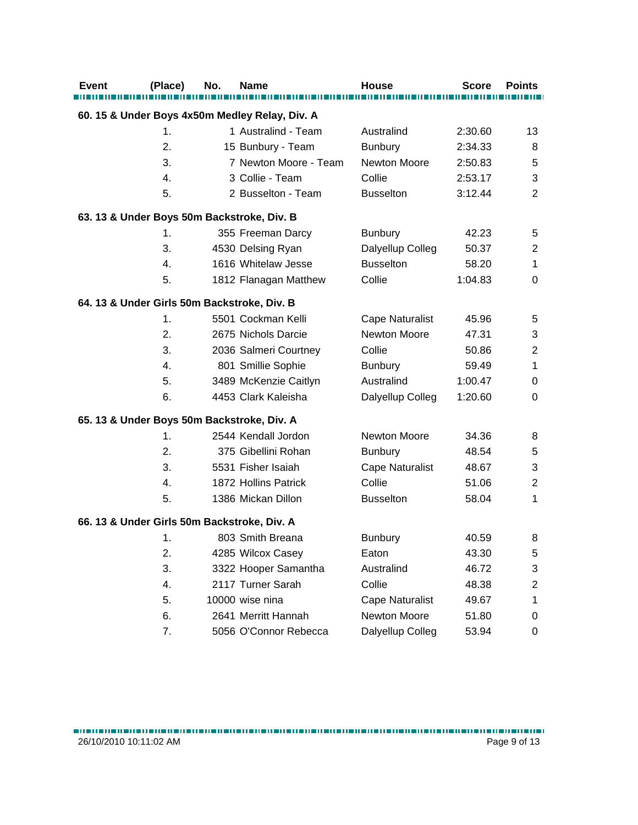| Event | (Place)        | No. | Name                                           | <b>House</b>           | <b>Score</b> | <b>Points</b>    |
|-------|----------------|-----|------------------------------------------------|------------------------|--------------|------------------|
|       |                |     | 60. 15 & Under Boys 4x50m Medley Relay, Div. A |                        |              |                  |
|       | 1.             |     | 1 Australind - Team                            | Australind             | 2:30.60      | 13               |
|       | 2.             |     | 15 Bunbury - Team                              | <b>Bunbury</b>         | 2:34.33      | 8                |
|       | 3.             |     | 7 Newton Moore - Team                          | Newton Moore           | 2:50.83      | 5                |
|       | 4.             |     | 3 Collie - Team                                | Collie                 | 2:53.17      | 3                |
|       | 5.             |     | 2 Busselton - Team                             | <b>Busselton</b>       | 3:12.44      | $\overline{2}$   |
|       |                |     | 63. 13 & Under Boys 50m Backstroke, Div. B     |                        |              |                  |
|       | 1.             |     | 355 Freeman Darcy                              | <b>Bunbury</b>         | 42.23        | 5                |
|       | 3.             |     | 4530 Delsing Ryan                              | Dalyellup Colleg       | 50.37        | $\boldsymbol{2}$ |
|       | 4.             |     | 1616 Whitelaw Jesse                            | <b>Busselton</b>       | 58.20        | 1                |
|       | 5.             |     | 1812 Flanagan Matthew                          | Collie                 | 1:04.83      | $\Omega$         |
|       |                |     | 64. 13 & Under Girls 50m Backstroke, Div. B    |                        |              |                  |
|       | 1.             |     | 5501 Cockman Kelli                             | <b>Cape Naturalist</b> | 45.96        | 5                |
|       | 2.             |     | 2675 Nichols Darcie                            | Newton Moore           | 47.31        | 3                |
|       | 3.             |     | 2036 Salmeri Courtney                          | Collie                 | 50.86        | $\overline{2}$   |
|       | $\mathbf{4}$ . |     | 801 Smillie Sophie                             | <b>Bunbury</b>         | 59.49        | 1                |
|       | 5.             |     | 3489 McKenzie Caitlyn                          | Australind             | 1:00.47      | 0                |
|       | 6.             |     | 4453 Clark Kaleisha                            | Dalyellup Colleg       | 1:20.60      | 0                |
|       |                |     | 65. 13 & Under Boys 50m Backstroke, Div. A     |                        |              |                  |
|       | 1.             |     | 2544 Kendall Jordon                            | Newton Moore           | 34.36        | 8                |
|       | 2.             |     | 375 Gibellini Rohan                            | <b>Bunbury</b>         | 48.54        | 5                |
|       | 3.             |     | 5531 Fisher Isaiah                             | <b>Cape Naturalist</b> | 48.67        | 3                |
|       | 4.             |     | 1872 Hollins Patrick                           | Collie                 | 51.06        | $\overline{2}$   |
|       | 5.             |     | 1386 Mickan Dillon                             | <b>Busselton</b>       | 58.04        | 1                |
|       |                |     | 66. 13 & Under Girls 50m Backstroke, Div. A    |                        |              |                  |
|       | 1.             |     | 803 Smith Breana                               | <b>Bunbury</b>         | 40.59        | 8                |
|       | 2.             |     | 4285 Wilcox Casey                              | Eaton                  | 43.30        | 5                |
|       | 3.             |     | 3322 Hooper Samantha                           | Australind             | 46.72        | 3                |
|       | 4.             |     | 2117 Turner Sarah                              | Collie                 | 48.38        | $\boldsymbol{2}$ |
|       | 5.             |     | 10000 wise nina                                | <b>Cape Naturalist</b> | 49.67        | 1                |
|       | 6.             |     | 2641 Merritt Hannah                            | Newton Moore           | 51.80        | 0                |
|       | 7.             |     | 5056 O'Connor Rebecca                          | Dalyellup Colleg       | 53.94        | 0                |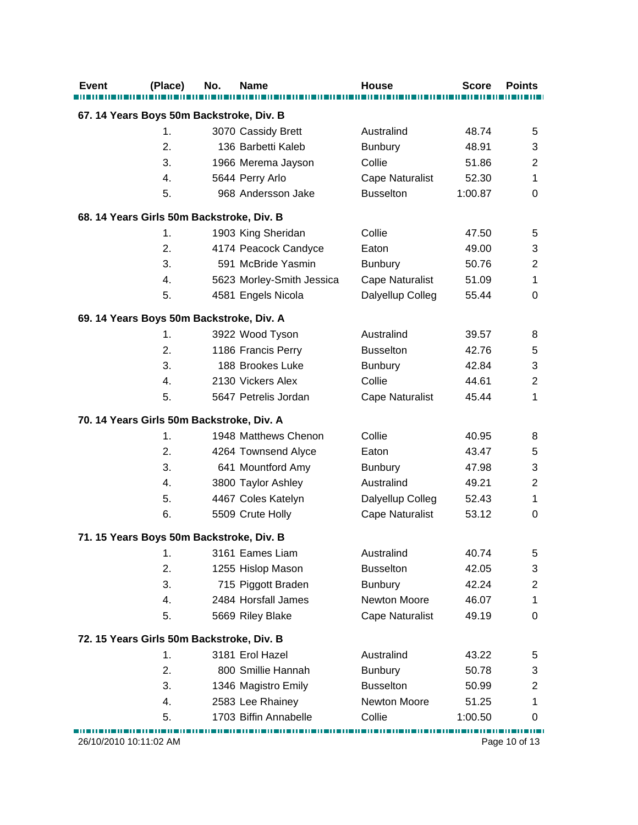| Event                  | (Place)                                   | No. | <b>Name</b>               | <b>House</b>           | <b>Score</b> | <b>Points</b>    |
|------------------------|-------------------------------------------|-----|---------------------------|------------------------|--------------|------------------|
|                        | 67. 14 Years Boys 50m Backstroke, Div. B  |     |                           |                        |              |                  |
|                        | $\mathbf 1$ .                             |     | 3070 Cassidy Brett        | Australind             | 48.74        | 5                |
|                        | $\overline{2}$ .                          |     | 136 Barbetti Kaleb        | <b>Bunbury</b>         | 48.91        | 3                |
|                        | 3.                                        |     | 1966 Merema Jayson        | Collie                 | 51.86        | $\overline{2}$   |
|                        | 4.                                        |     | 5644 Perry Arlo           | <b>Cape Naturalist</b> | 52.30        | 1                |
|                        | 5.                                        |     | 968 Andersson Jake        | <b>Busselton</b>       | 1:00.87      | 0                |
|                        | 68. 14 Years Girls 50m Backstroke, Div. B |     |                           |                        |              |                  |
|                        | 1.                                        |     | 1903 King Sheridan        | Collie                 | 47.50        | 5                |
|                        | 2.                                        |     | 4174 Peacock Candyce      | Eaton                  | 49.00        | 3                |
|                        | 3.                                        |     | 591 McBride Yasmin        | <b>Bunbury</b>         | 50.76        | $\mathbf{2}$     |
|                        | 4.                                        |     | 5623 Morley-Smith Jessica | Cape Naturalist        | 51.09        | 1                |
|                        | 5.                                        |     | 4581 Engels Nicola        | Dalyellup Colleg       | 55.44        | 0                |
|                        | 69. 14 Years Boys 50m Backstroke, Div. A  |     |                           |                        |              |                  |
|                        | 1.                                        |     | 3922 Wood Tyson           | Australind             | 39.57        | 8                |
|                        | 2.                                        |     | 1186 Francis Perry        | <b>Busselton</b>       | 42.76        | 5                |
|                        | 3.                                        |     | 188 Brookes Luke          | <b>Bunbury</b>         | 42.84        | 3                |
|                        | 4.                                        |     | 2130 Vickers Alex         | Collie                 | 44.61        | $\overline{2}$   |
|                        | 5.                                        |     | 5647 Petrelis Jordan      | <b>Cape Naturalist</b> | 45.44        | 1                |
|                        | 70. 14 Years Girls 50m Backstroke, Div. A |     |                           |                        |              |                  |
|                        | 1.                                        |     | 1948 Matthews Chenon      | Collie                 | 40.95        | 8                |
|                        | 2.                                        |     | 4264 Townsend Alyce       | Eaton                  | 43.47        | 5                |
|                        | 3.                                        |     | 641 Mountford Amy         | <b>Bunbury</b>         | 47.98        | 3                |
|                        | 4.                                        |     | 3800 Taylor Ashley        | Australind             | 49.21        | $\overline{c}$   |
|                        | 5.                                        |     | 4467 Coles Katelyn        | Dalyellup Colleg       | 52.43        | 1                |
|                        | 6.                                        |     | 5509 Crute Holly          | <b>Cape Naturalist</b> | 53.12        | 0                |
|                        | 71. 15 Years Boys 50m Backstroke, Div. B  |     |                           |                        |              |                  |
|                        | 1.                                        |     | 3161 Eames Liam           | Australind             | 40.74        | 5                |
|                        | 2.                                        |     | 1255 Hislop Mason         | <b>Busselton</b>       | 42.05        | 3                |
|                        | 3.                                        |     | 715 Piggott Braden        | <b>Bunbury</b>         | 42.24        | $\boldsymbol{2}$ |
|                        | 4.                                        |     | 2484 Horsfall James       | Newton Moore           | 46.07        | 1                |
|                        | 5.                                        |     | 5669 Riley Blake          | <b>Cape Naturalist</b> | 49.19        | 0                |
|                        | 72. 15 Years Girls 50m Backstroke, Div. B |     |                           |                        |              |                  |
|                        | 1.                                        |     | 3181 Erol Hazel           | Australind             | 43.22        | 5                |
|                        | 2.                                        |     | 800 Smillie Hannah        | <b>Bunbury</b>         | 50.78        | 3                |
|                        | 3.                                        |     | 1346 Magistro Emily       | <b>Busselton</b>       | 50.99        | $\overline{2}$   |
|                        | 4.                                        |     | 2583 Lee Rhainey          | Newton Moore           | 51.25        | 1                |
|                        | 5.                                        |     | 1703 Biffin Annabelle     | Collie                 | 1:00.50      | 0                |
| 26/10/2010 10:11:02 AM |                                           |     |                           |                        |              | Page 10 of 13    |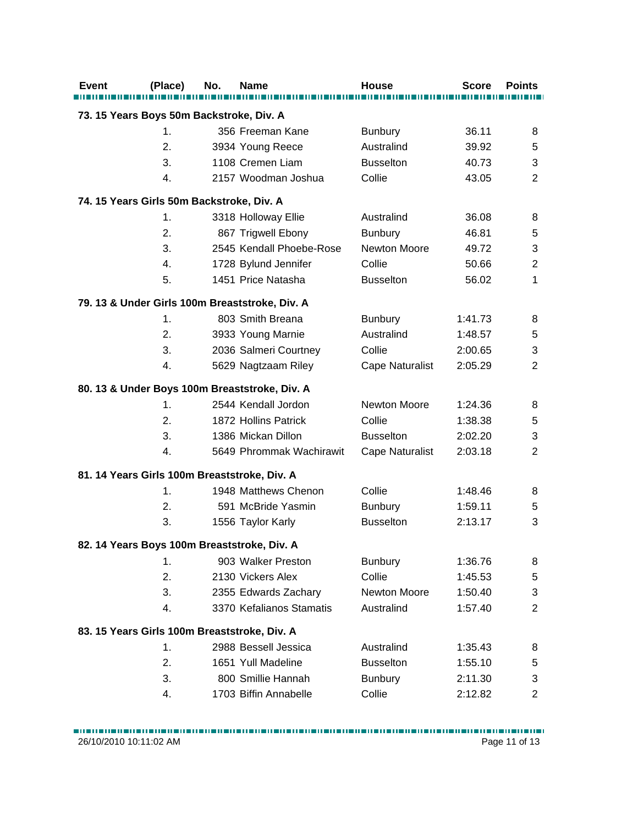| <b>Event</b> | (Place)                                            | No. | <b>Name</b>                                    | House                  | <b>Score</b> | <b>Points</b>             |
|--------------|----------------------------------------------------|-----|------------------------------------------------|------------------------|--------------|---------------------------|
|              |                                                    |     |                                                |                        |              |                           |
|              | 73. 15 Years Boys 50m Backstroke, Div. A           |     |                                                |                        |              |                           |
|              | 1.                                                 |     | 356 Freeman Kane                               | <b>Bunbury</b>         | 36.11        | 8                         |
|              | 2.                                                 |     | 3934 Young Reece                               | Australind             | 39.92        | 5                         |
|              | 3.                                                 |     | 1108 Cremen Liam                               | <b>Busselton</b>       | 40.73        | $\ensuremath{\mathsf{3}}$ |
|              | 4.                                                 |     | 2157 Woodman Joshua                            | Collie                 | 43.05        | $\overline{2}$            |
|              | 74. 15 Years Girls 50m Backstroke, Div. A          |     |                                                |                        |              |                           |
|              | 1.                                                 |     | 3318 Holloway Ellie                            | Australind             | 36.08        | 8                         |
|              | 2.                                                 |     | 867 Trigwell Ebony                             | <b>Bunbury</b>         | 46.81        | 5                         |
|              | 3.                                                 |     | 2545 Kendall Phoebe-Rose                       | Newton Moore           | 49.72        | 3                         |
|              | 4.                                                 |     | 1728 Bylund Jennifer                           | Collie                 | 50.66        | $\overline{c}$            |
|              | 5.                                                 |     | 1451 Price Natasha                             | <b>Busselton</b>       | 56.02        | 1                         |
|              |                                                    |     | 79. 13 & Under Girls 100m Breaststroke, Div. A |                        |              |                           |
|              | 1.                                                 |     | 803 Smith Breana                               | <b>Bunbury</b>         | 1:41.73      | 8                         |
|              | 2.                                                 |     | 3933 Young Marnie                              | Australind             | 1:48.57      | 5                         |
|              | 3.                                                 |     | 2036 Salmeri Courtney                          | Collie                 | 2:00.65      | 3                         |
|              | 4.                                                 |     | 5629 Nagtzaam Riley                            | <b>Cape Naturalist</b> | 2:05.29      | $\overline{2}$            |
|              |                                                    |     |                                                |                        |              |                           |
|              |                                                    |     | 80. 13 & Under Boys 100m Breaststroke, Div. A  |                        |              |                           |
|              | 1.                                                 |     | 2544 Kendall Jordon                            | Newton Moore           | 1:24.36      | 8                         |
|              | 2.                                                 |     | 1872 Hollins Patrick                           | Collie                 | 1:38.38      | 5                         |
|              | 3.                                                 |     | 1386 Mickan Dillon                             | <b>Busselton</b>       | 2:02.20      | 3                         |
|              | 4.                                                 |     | 5649 Phrommak Wachirawit                       | <b>Cape Naturalist</b> | 2:03.18      | $\overline{2}$            |
|              | 81. 14 Years Girls 100m Breaststroke, Div. A       |     |                                                |                        |              |                           |
|              | 1.                                                 |     | 1948 Matthews Chenon                           | Collie                 | 1:48.46      | 8                         |
|              | 2.                                                 |     | 591 McBride Yasmin                             | <b>Bunbury</b>         | 1:59.11      | 5                         |
|              | 3.                                                 |     | 1556 Taylor Karly                              | <b>Busselton</b>       | 2:13.17      | 3                         |
|              | 82. 14 Years Boys 100m Breaststroke, Div. A        |     |                                                |                        |              |                           |
|              | 1.                                                 |     | 903 Walker Preston                             | Bunbury                | 1:36.76      | 8                         |
|              | 2.                                                 |     | 2130 Vickers Alex                              | Collie                 | 1:45.53      | 5                         |
|              | 3.                                                 |     | 2355 Edwards Zachary                           | <b>Newton Moore</b>    | 1:50.40      | 3                         |
|              | 4.                                                 |     | 3370 Kefalianos Stamatis                       | Australind             | 1:57.40      | $\overline{2}$            |
|              |                                                    |     |                                                |                        |              |                           |
|              | 83. 15 Years Girls 100m Breaststroke, Div. A<br>1. |     | 2988 Bessell Jessica                           | Australind             | 1:35.43      |                           |
|              | 2.                                                 |     | 1651 Yull Madeline                             | <b>Busselton</b>       | 1:55.10      | 8                         |
|              | 3.                                                 |     | 800 Smillie Hannah                             |                        |              | 5                         |
|              |                                                    |     |                                                | <b>Bunbury</b>         | 2:11.30      | 3                         |
|              | 4.                                                 |     | 1703 Biffin Annabelle                          | Collie                 | 2:12.82      | $\overline{2}$            |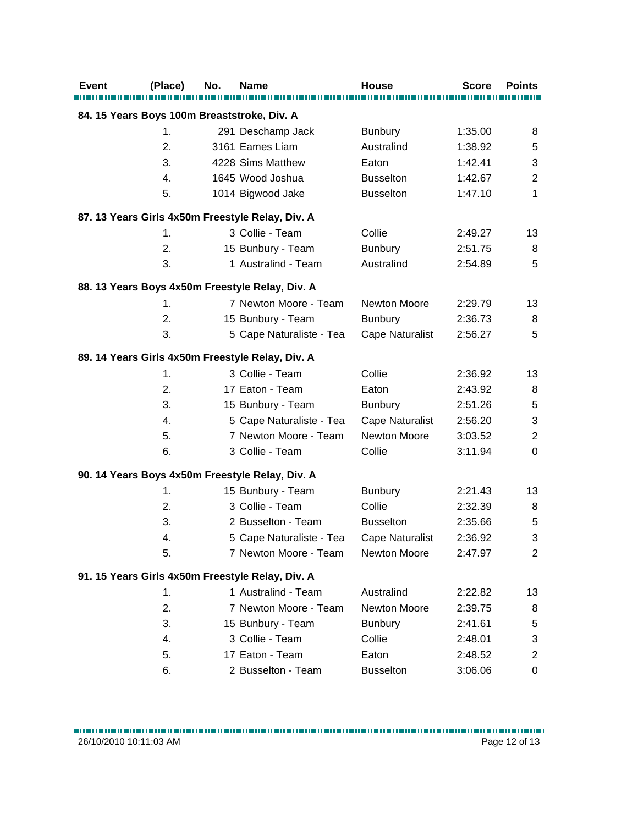| <b>Event</b>                                | (Place) | No. | <b>Name</b>                                      | <b>House</b>           | <b>Score</b> | <b>Points</b>             |
|---------------------------------------------|---------|-----|--------------------------------------------------|------------------------|--------------|---------------------------|
|                                             |         |     |                                                  |                        |              |                           |
| 84. 15 Years Boys 100m Breaststroke, Div. A |         |     |                                                  |                        |              |                           |
|                                             | 1.      |     | 291 Deschamp Jack                                | <b>Bunbury</b>         | 1:35.00      | 8                         |
|                                             | 2.      |     | 3161 Eames Liam                                  | Australind             | 1:38.92      | 5                         |
|                                             | 3.      |     | 4228 Sims Matthew                                | Eaton                  | 1:42.41      | $\ensuremath{\mathsf{3}}$ |
|                                             | 4.      |     | 1645 Wood Joshua                                 | <b>Busselton</b>       | 1:42.67      | $\overline{2}$            |
|                                             | 5.      |     | 1014 Bigwood Jake                                | <b>Busselton</b>       | 1:47.10      | 1                         |
|                                             |         |     | 87. 13 Years Girls 4x50m Freestyle Relay, Div. A |                        |              |                           |
|                                             | 1.      |     | 3 Collie - Team                                  | Collie                 | 2:49.27      | 13                        |
|                                             | 2.      |     | 15 Bunbury - Team                                | <b>Bunbury</b>         | 2:51.75      | 8                         |
|                                             | 3.      |     | 1 Australind - Team                              | Australind             | 2:54.89      | 5                         |
|                                             |         |     | 88. 13 Years Boys 4x50m Freestyle Relay, Div. A  |                        |              |                           |
|                                             | 1.      |     | 7 Newton Moore - Team                            | Newton Moore           | 2:29.79      | 13                        |
|                                             | 2.      |     | 15 Bunbury - Team                                | <b>Bunbury</b>         | 2:36.73      | 8                         |
|                                             | 3.      |     | 5 Cape Naturaliste - Tea                         | <b>Cape Naturalist</b> | 2:56.27      | 5                         |
|                                             |         |     | 89. 14 Years Girls 4x50m Freestyle Relay, Div. A |                        |              |                           |
|                                             | 1.      |     | 3 Collie - Team                                  | Collie                 | 2:36.92      | 13                        |
|                                             | 2.      |     | 17 Eaton - Team                                  | Eaton                  | 2:43.92      | 8                         |
|                                             | 3.      |     | 15 Bunbury - Team                                | <b>Bunbury</b>         | 2:51.26      | 5                         |
|                                             | 4.      |     | 5 Cape Naturaliste - Tea                         | Cape Naturalist        | 2:56.20      | 3                         |
|                                             | 5.      |     | 7 Newton Moore - Team                            | Newton Moore           | 3:03.52      | $\overline{2}$            |
|                                             | 6.      |     | 3 Collie - Team                                  | Collie                 | 3:11.94      | 0                         |
|                                             |         |     | 90. 14 Years Boys 4x50m Freestyle Relay, Div. A  |                        |              |                           |
|                                             | 1.      |     | 15 Bunbury - Team                                | <b>Bunbury</b>         | 2:21.43      | 13                        |
|                                             | 2.      |     | 3 Collie - Team                                  | Collie                 | 2:32.39      | 8                         |
|                                             | 3.      |     | 2 Busselton - Team                               | <b>Busselton</b>       | 2:35.66      | 5                         |
|                                             | 4.      |     | 5 Cape Naturaliste - Tea                         | <b>Cape Naturalist</b> | 2:36.92      | 3                         |
|                                             | 5.      |     | 7 Newton Moore - Team                            | Newton Moore           | 2:47.97      | 2                         |
|                                             |         |     | 91. 15 Years Girls 4x50m Freestyle Relay, Div. A |                        |              |                           |
|                                             | 1.      |     | 1 Australind - Team                              | Australind             | 2:22.82      | 13                        |
|                                             | 2.      |     | 7 Newton Moore - Team                            | Newton Moore           | 2:39.75      | 8                         |
|                                             | 3.      |     | 15 Bunbury - Team                                | <b>Bunbury</b>         | 2:41.61      | 5                         |
|                                             | 4.      |     | 3 Collie - Team                                  | Collie                 | 2:48.01      | 3                         |
|                                             | 5.      |     | 17 Eaton - Team                                  | Eaton                  | 2:48.52      | $\overline{2}$            |
|                                             | 6.      |     | 2 Busselton - Team                               | <b>Busselton</b>       | 3:06.06      | 0                         |